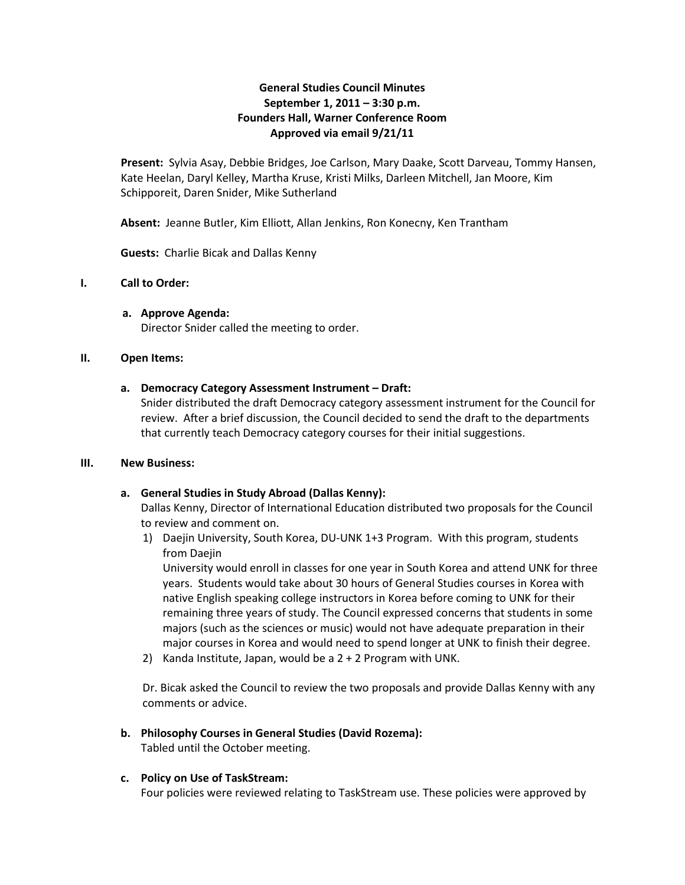# **General Studies Council Minutes September 1, 2011 – 3:30 p.m. Founders Hall, Warner Conference Room Approved via email 9/21/11**

**Present:** Sylvia Asay, Debbie Bridges, Joe Carlson, Mary Daake, Scott Darveau, Tommy Hansen, Kate Heelan, Daryl Kelley, Martha Kruse, Kristi Milks, Darleen Mitchell, Jan Moore, Kim Schipporeit, Daren Snider, Mike Sutherland

**Absent:** Jeanne Butler, Kim Elliott, Allan Jenkins, Ron Konecny, Ken Trantham

**Guests:** Charlie Bicak and Dallas Kenny

## **I. Call to Order:**

**a. Approve Agenda:** Director Snider called the meeting to order.

#### **II. Open Items:**

#### **a. Democracy Category Assessment Instrument – Draft:**

Snider distributed the draft Democracy category assessment instrument for the Council for review. After a brief discussion, the Council decided to send the draft to the departments that currently teach Democracy category courses for their initial suggestions.

#### **III. New Business:**

## **a. General Studies in Study Abroad (Dallas Kenny):**

Dallas Kenny, Director of International Education distributed two proposals for the Council to review and comment on.

1) Daejin University, South Korea, DU-UNK 1+3 Program. With this program, students from Daejin

University would enroll in classes for one year in South Korea and attend UNK for three years. Students would take about 30 hours of General Studies courses in Korea with native English speaking college instructors in Korea before coming to UNK for their remaining three years of study. The Council expressed concerns that students in some majors (such as the sciences or music) would not have adequate preparation in their major courses in Korea and would need to spend longer at UNK to finish their degree.

2) Kanda Institute, Japan, would be a 2 + 2 Program with UNK.

Dr. Bicak asked the Council to review the two proposals and provide Dallas Kenny with any comments or advice.

## **b. Philosophy Courses in General Studies (David Rozema):**

Tabled until the October meeting.

## **c. Policy on Use of TaskStream:**

Four policies were reviewed relating to TaskStream use. These policies were approved by